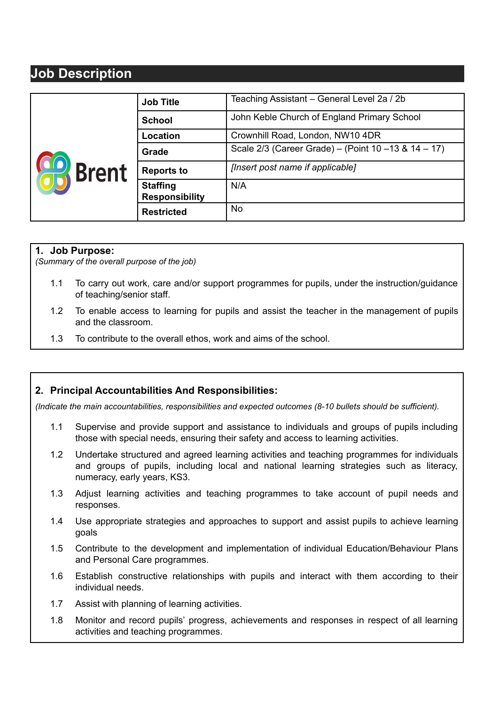## **Job Description**

|                | <b>Job Title</b>                         | Teaching Assistant – General Level 2a / 2b           |
|----------------|------------------------------------------|------------------------------------------------------|
| <b>K</b> Brent | <b>School</b>                            | John Keble Church of England Primary School          |
|                | <b>Location</b>                          | Crownhill Road, London, NW10 4DR                     |
|                | Grade                                    | Scale 2/3 (Career Grade) – (Point 10 – 13 & 14 – 17) |
|                | <b>Reports to</b>                        | [Insert post name if applicable]                     |
|                | <b>Staffing</b><br><b>Responsibility</b> | N/A                                                  |
|                | <b>Restricted</b>                        | <b>No</b>                                            |

## **1. Job Purpose:**

*(Summary of the overall purpose of the job)*

- 1.1 To carry out work, care and/or support programmes for pupils, under the instruction/guidance of teaching/senior staff.
- 1.2 To enable access to learning for pupils and assist the teacher in the management of pupils and the classroom.
- 1.3 To contribute to the overall ethos, work and aims of the school.

## **2. Principal Accountabilities And Responsibilities:**

*(Indicate the main accountabilities, responsibilities and expected outcomes (8-10 bullets should be sufficient).*

- 1.1 Supervise and provide support and assistance to individuals and groups of pupils including those with special needs, ensuring their safety and access to learning activities.
- 1.2 Undertake structured and agreed learning activities and teaching programmes for individuals and groups of pupils, including local and national learning strategies such as literacy, numeracy, early years, KS3.
- 1.3 Adjust learning activities and teaching programmes to take account of pupil needs and responses.
- 1.4 Use appropriate strategies and approaches to support and assist pupils to achieve learning goals
- 1.5 Contribute to the development and implementation of individual Education/Behaviour Plans and Personal Care programmes.
- 1.6 Establish constructive relationships with pupils and interact with them according to their individual needs.
- 1.7 Assist with planning of learning activities.
- 1.8 Monitor and record pupils' progress, achievements and responses in respect of all learning activities and teaching programmes.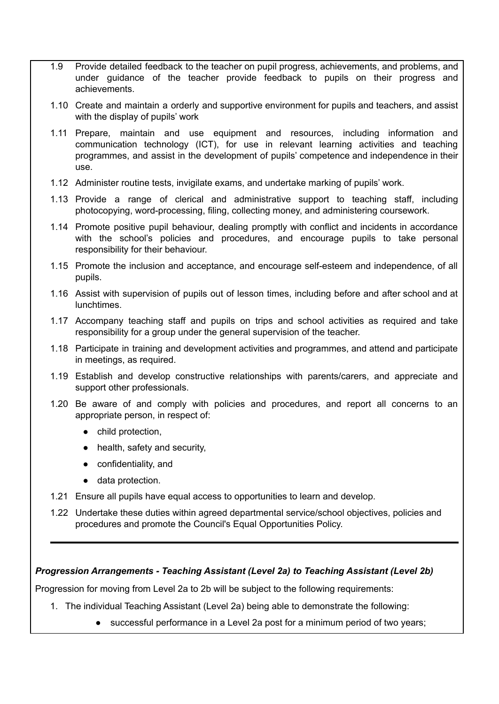- 1.9 Provide detailed feedback to the teacher on pupil progress, achievements, and problems, and under guidance of the teacher provide feedback to pupils on their progress and achievements.
- 1.10 Create and maintain a orderly and supportive environment for pupils and teachers, and assist with the display of pupils' work
- 1.11 Prepare, maintain and use equipment and resources, including information and communication technology (ICT), for use in relevant learning activities and teaching programmes, and assist in the development of pupils' competence and independence in their use.
- 1.12 Administer routine tests, invigilate exams, and undertake marking of pupils' work.
- 1.13 Provide a range of clerical and administrative support to teaching staff, including photocopying, word-processing, filing, collecting money, and administering coursework.
- 1.14 Promote positive pupil behaviour, dealing promptly with conflict and incidents in accordance with the school's policies and procedures, and encourage pupils to take personal responsibility for their behaviour.
- 1.15 Promote the inclusion and acceptance, and encourage self-esteem and independence, of all pupils.
- 1.16 Assist with supervision of pupils out of lesson times, including before and after school and at lunchtimes.
- 1.17 Accompany teaching staff and pupils on trips and school activities as required and take responsibility for a group under the general supervision of the teacher.
- 1.18 Participate in training and development activities and programmes, and attend and participate in meetings, as required.
- 1.19 Establish and develop constructive relationships with parents/carers, and appreciate and support other professionals.
- 1.20 Be aware of and comply with policies and procedures, and report all concerns to an appropriate person, in respect of:
	- child protection,
	- health, safety and security,
	- confidentiality, and
	- data protection.
- 1.21 Ensure all pupils have equal access to opportunities to learn and develop.
- 1.22 Undertake these duties within agreed departmental service/school objectives, policies and procedures and promote the Council's Equal Opportunities Policy.

## *Progression Arrangements - Teaching Assistant (Level 2a) to Teaching Assistant (Level 2b)*

Progression for moving from Level 2a to 2b will be subject to the following requirements:

- 1. The individual Teaching Assistant (Level 2a) being able to demonstrate the following:
	- successful performance in a Level 2a post for a minimum period of two years;